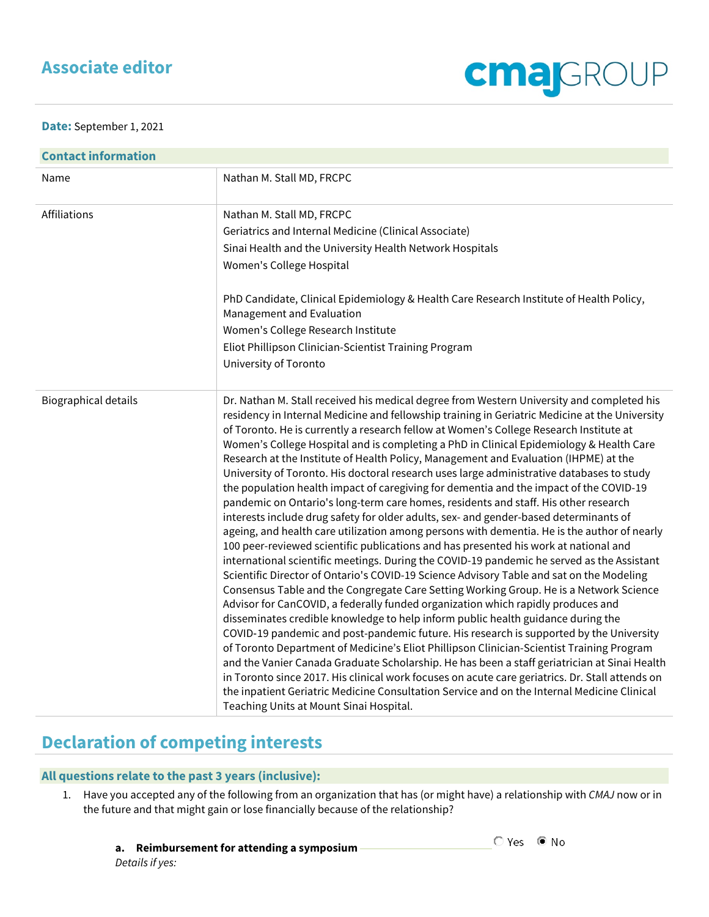## **Associate editor**

**Date:** September 1, 2021

| <b>Contact information</b> |                                                                                                                                                                                                                                                                                                                                                                                                                                                                                                                                                                                                                                                                                                                                                                                                                                                                                                                                                                                                                                                                                                                                                                                                                                                                                                                                                                                                                                                                                                                                                                                                                                                                                                                                                                                                                                                                                                                                                                                                                                         |  |  |
|----------------------------|-----------------------------------------------------------------------------------------------------------------------------------------------------------------------------------------------------------------------------------------------------------------------------------------------------------------------------------------------------------------------------------------------------------------------------------------------------------------------------------------------------------------------------------------------------------------------------------------------------------------------------------------------------------------------------------------------------------------------------------------------------------------------------------------------------------------------------------------------------------------------------------------------------------------------------------------------------------------------------------------------------------------------------------------------------------------------------------------------------------------------------------------------------------------------------------------------------------------------------------------------------------------------------------------------------------------------------------------------------------------------------------------------------------------------------------------------------------------------------------------------------------------------------------------------------------------------------------------------------------------------------------------------------------------------------------------------------------------------------------------------------------------------------------------------------------------------------------------------------------------------------------------------------------------------------------------------------------------------------------------------------------------------------------------|--|--|
| Name                       | Nathan M. Stall MD, FRCPC                                                                                                                                                                                                                                                                                                                                                                                                                                                                                                                                                                                                                                                                                                                                                                                                                                                                                                                                                                                                                                                                                                                                                                                                                                                                                                                                                                                                                                                                                                                                                                                                                                                                                                                                                                                                                                                                                                                                                                                                               |  |  |
| Affiliations               | Nathan M. Stall MD, FRCPC<br>Geriatrics and Internal Medicine (Clinical Associate)<br>Sinai Health and the University Health Network Hospitals<br>Women's College Hospital<br>PhD Candidate, Clinical Epidemiology & Health Care Research Institute of Health Policy,<br>Management and Evaluation<br>Women's College Research Institute<br>Eliot Phillipson Clinician-Scientist Training Program<br>University of Toronto                                                                                                                                                                                                                                                                                                                                                                                                                                                                                                                                                                                                                                                                                                                                                                                                                                                                                                                                                                                                                                                                                                                                                                                                                                                                                                                                                                                                                                                                                                                                                                                                              |  |  |
| Biographical details       | Dr. Nathan M. Stall received his medical degree from Western University and completed his<br>residency in Internal Medicine and fellowship training in Geriatric Medicine at the University<br>of Toronto. He is currently a research fellow at Women's College Research Institute at<br>Women's College Hospital and is completing a PhD in Clinical Epidemiology & Health Care<br>Research at the Institute of Health Policy, Management and Evaluation (IHPME) at the<br>University of Toronto. His doctoral research uses large administrative databases to study<br>the population health impact of caregiving for dementia and the impact of the COVID-19<br>pandemic on Ontario's long-term care homes, residents and staff. His other research<br>interests include drug safety for older adults, sex- and gender-based determinants of<br>ageing, and health care utilization among persons with dementia. He is the author of nearly<br>100 peer-reviewed scientific publications and has presented his work at national and<br>international scientific meetings. During the COVID-19 pandemic he served as the Assistant<br>Scientific Director of Ontario's COVID-19 Science Advisory Table and sat on the Modeling<br>Consensus Table and the Congregate Care Setting Working Group. He is a Network Science<br>Advisor for CanCOVID, a federally funded organization which rapidly produces and<br>disseminates credible knowledge to help inform public health guidance during the<br>COVID-19 pandemic and post-pandemic future. His research is supported by the University<br>of Toronto Department of Medicine's Eliot Phillipson Clinician-Scientist Training Program<br>and the Vanier Canada Graduate Scholarship. He has been a staff geriatrician at Sinai Health<br>in Toronto since 2017. His clinical work focuses on acute care geriatrics. Dr. Stall attends on<br>the inpatient Geriatric Medicine Consultation Service and on the Internal Medicine Clinical<br>Teaching Units at Mount Sinai Hospital. |  |  |

## **Declaration of competing interests**

## **All questions relate to the past 3 years (inclusive):**

1. Have you accepted any of the following from an organization that has (or might have) a relationship with *CMAJ* now or in the future and that might gain or lose financially because of the relationship?

## **a. Reimbursement for attending a symposium**

**cmaj**GROUP

*Details if yes:*